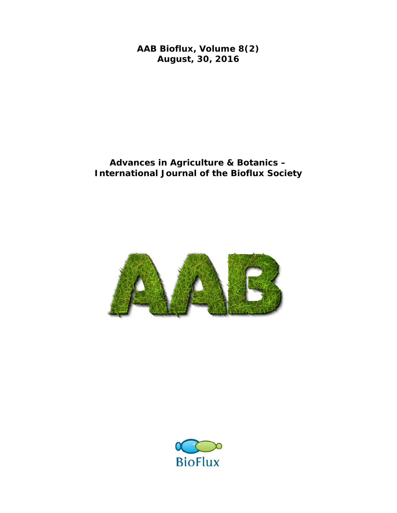**AAB Bioflux, Volume 8(2) August, 30, 2016** 

## **Advances in Agriculture & Botanics – International Journal of the Bioflux Society**



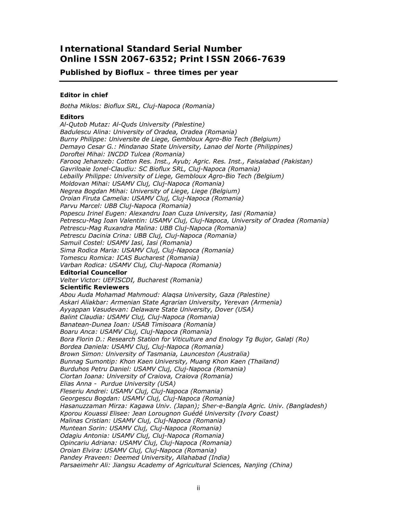### **International Standard Serial Number Online ISSN 2067-6352; Print ISSN 2066-7639**

### **Published by Bioflux – three times per year**

#### *Editor in chief*

*Botha Miklos: Bioflux SRL, Cluj-Napoca (Romania)*

#### *Editors*

*Al-Qutob Mutaz: Al-Quds University (Palestine) Badulescu Alina: University of Oradea, Oradea (Romania) Burny Philippe: Universite de Liege, Gembloux Agro-Bio Tech (Belgium) Demayo Cesar G.: Mindanao State University, Lanao del Norte (Philippines) Doroftei Mihai: INCDD Tulcea (Romania) Farooq Jehanzeb: Cotton Res. Inst., Ayub; Agric. Res. Inst., Faisalabad (Pakistan) Gavriloaie Ionel-Claudiu: SC Bioflux SRL, Cluj-Napoca (Romania) Lebailly Philippe: University of Liege, Gembloux Agro-Bio Tech (Belgium) Moldovan Mihai: USAMV Cluj, Cluj-Napoca (Romania) Negrea Bogdan Mihai: University of Liege, Liege (Belgium) Oroian Firuta Camelia: USAMV Cluj, Cluj-Napoca (Romania) Parvu Marcel: UBB Cluj-Napoca (Romania) Popescu Irinel Eugen: Alexandru Ioan Cuza University, Iasi (Romania) Petrescu-Mag Ioan Valentin: USAMV Cluj, Cluj-Napoca, University of Oradea (Romania) Petrescu-Mag Ruxandra Malina: UBB Cluj-Napoca (Romania) Petrescu Dacinia Crina: UBB Cluj, Cluj-Napoca (Romania) Samuil Costel: USAMV Iasi, Iasi (Romania) Sima Rodica Maria: USAMV Cluj, Cluj-Napoca (Romania) Tomescu Romica: ICAS Bucharest (Romania) Varban Rodica: USAMV Cluj, Cluj-Napoca (Romania) Editorial Councellor Velter Victor: UEFISCDI, Bucharest (Romania) Scientific Reviewers Abou Auda Mohamad Mahmoud: Alaqsa University, Gaza (Palestine) Askari Aliakbar: Armenian State Agrarian University, Yerevan (Armenia) Ayyappan Vasudevan: Delaware State University, Dover (USA) Balint Claudia: USAMV Cluj, Cluj-Napoca (Romania) Banatean-Dunea Ioan: USAB Timisoara (Romania) Boaru Anca: USAMV Cluj, Cluj-Napoca (Romania) Bora Florin D.: Research Station for Viticulture and Enology Tg Bujor, Galați (Ro) Bordea Daniela: USAMV Cluj, Cluj-Napoca (Romania) Brown Simon: University of Tasmania, Launceston (Australia) Bunnag Sumontip: Khon Kaen University, Muang Khon Kaen (Thailand) Burduhos Petru Daniel: USAMV Cluj, Cluj-Napoca (Romania) Ciortan Ioana: University of Craiova, Craiova (Romania) Elias Anna - Purdue University (USA) Fleseriu Andrei: USAMV Cluj, Cluj-Napoca (Romania) Georgescu Bogdan: USAMV Cluj, Cluj-Napoca (Romania) Hasanuzzaman Mirza: Kagawa Univ. (Japan); Sher-e-Bangla Agric. Univ. (Bangladesh) Kporou Kouassi Elisee: Jean Lorougnon Guédé University (Ivory Coast) Malinas Cristian: USAMV Cluj, Cluj-Napoca (Romania) Muntean Sorin: USAMV Cluj, Cluj-Napoca (Romania) Odagiu Antonia: USAMV Cluj, Cluj-Napoca (Romania) Opincariu Adriana: USAMV Cluj, Cluj-Napoca (Romania) Oroian Elvira: USAMV Cluj, Cluj-Napoca (Romania) Pandey Praveen: Deemed University, Allahabad (India) Parsaeimehr Ali: Jiangsu Academy of Agricultural Sciences, Nanjing (China)*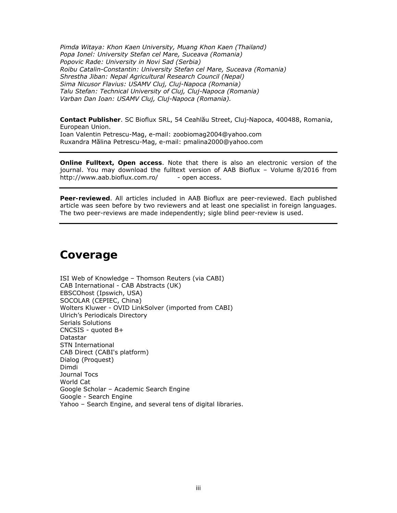*Pimda Witaya: Khon Kaen University, Muang Khon Kaen (Thailand) Popa Ionel: University Stefan cel Mare, Suceava (Romania) Popovic Rade: University in Novi Sad (Serbia) Roibu Catalin-Constantin: University Stefan cel Mare, Suceava (Romania) Shrestha Jiban: Nepal Agricultural Research Council (Nepal) Sima Nicusor Flavius: USAMV Cluj, Cluj-Napoca (Romania) Talu Stefan: Technical University of Cluj, Cluj-Napoca (Romania) Varban Dan Ioan: USAMV Cluj, Cluj-Napoca (Romania).* 

**Contact Publisher**. SC Bioflux SRL, 54 Ceahlău Street, Cluj-Napoca, 400488, Romania, European Union. Ioan Valentin Petrescu-Mag, e-mail: zoobiomag2004@yahoo.com Ruxandra Mălina Petrescu-Mag, e-mail: pmalina2000@yahoo.com

**Online Fulltext, Open access**. Note that there is also an electronic version of the journal. You may download the fulltext version of AAB Bioflux – Volume 8/2016 from http://www.aab.bioflux.com.ro/ - open access.

**Peer-reviewed**. All articles included in AAB Bioflux are peer-reviewed. Each published article was seen before by two reviewers and at least one specialist in foreign languages. The two peer-reviews are made independently; sigle blind peer-review is used.

# **Coverage**

ISI Web of Knowledge – Thomson Reuters (via CABI) CAB International - CAB Abstracts (UK) EBSCOhost (Ipswich, USA) SOCOLAR (CEPIEC, China) Wolters Kluwer - OVID LinkSolver (imported from CABI) Ulrich's Periodicals Directory Serials Solutions CNCSIS - quoted B+ **Datastar** STN International CAB Direct (CABI's platform) Dialog (Proquest) Dimdi Journal Tocs World Cat Google Scholar – Academic Search Engine Google - Search Engine Yahoo – Search Engine, and several tens of digital libraries.